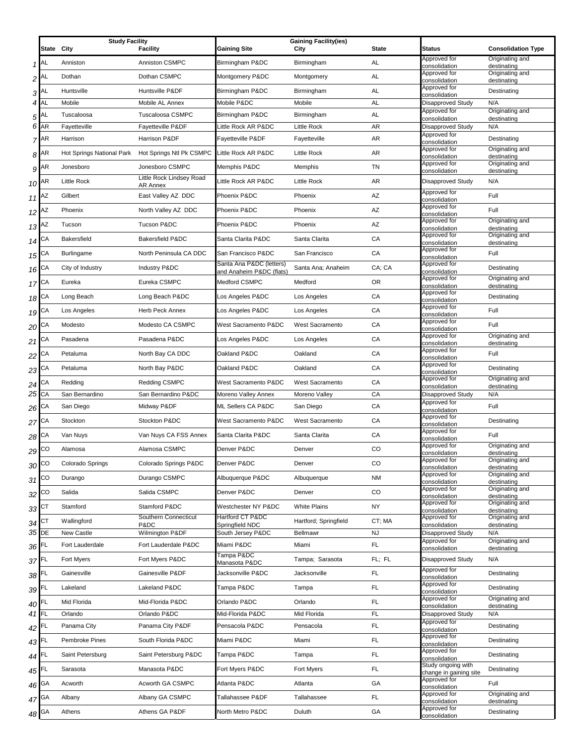|                    |                    | <b>Study Facility</b>     |                                | <b>Gaining Facility(ies)</b> |                        |              |                                              |                                |
|--------------------|--------------------|---------------------------|--------------------------------|------------------------------|------------------------|--------------|----------------------------------------------|--------------------------------|
|                    | State City         |                           | <b>Facility</b>                | <b>Gaining Site</b>          | City                   | <b>State</b> | <b>Status</b>                                | <b>Consolidation Type</b>      |
|                    |                    |                           |                                |                              |                        |              | Approved for                                 | Originating and                |
|                    | $1$ AL             | Anniston                  | Anniston CSMPC                 | Birmingham P&DC              | Birmingham             | AL           | consolidation                                | destinating                    |
| 2 <sup>AL</sup>    |                    | Dothan                    | Dothan CSMPC                   | Montgomery P&DC              | Montgomery             | AL           | Approved for<br>consolidation                | Originating and<br>destinating |
|                    | 3 <sup>AL</sup>    | Huntsville                | Huntsville P&DF                | Birmingham P&DC              | Birmingham             | AL           | Approved for                                 | Destinating                    |
|                    |                    |                           |                                |                              |                        |              | consolidation                                |                                |
|                    | 4AL                | Mobile                    | Mobile AL Annex                | Mobile P&DC                  | Mobile                 | AL           | Disapproved Study<br>Approved for            | N/A<br>Originating and         |
| 5                  | <b>AL</b>          | Tuscaloosa                | <b>Tuscaloosa CSMPC</b>        | Birmingham P&DC              | Birmingham             | AL           | consolidation                                | destinating                    |
|                    | 6 AR               | Fayetteville              | Fayetteville P&DF              | Little Rock AR P&DC          | Little Rock            | AR           | Disapproved Study                            | N/A                            |
|                    | 7 <sup>AR</sup>    | Harrison                  | Harrison P&DF                  | Fayetteville P&DF            | Fayetteville           | AR           | Approved for<br>consolidation                | Destinating                    |
|                    | $8^{\sf AR}$       | Hot Springs National Park | Hot Springs Ntl Pk CSMPC       | Little Rock AR P&DC          | Little Rock            | AR           | Approved for                                 | Originating and                |
|                    |                    |                           |                                |                              |                        |              | consolidation<br>Approved for                | destinating<br>Originating and |
|                    | $9^{AR}$           | Jonesboro                 | Jonesboro CSMPC                | Memphis P&DC                 | Memphis                | <b>TN</b>    | consolidation                                | destinating                    |
| 10 AR              |                    | <b>Little Rock</b>        | Little Rock Lindsey Road       | Little Rock AR P&DC          | Little Rock            | AR           | Disapproved Study                            | N/A                            |
|                    |                    | Gilbert                   | AR Annex<br>East Valley AZ DDC | Phoenix P&DC                 | Phoenix                | AZ           | Approved for                                 | Full                           |
| 11 <sup>AZ</sup>   |                    |                           |                                |                              |                        |              | consolidation                                |                                |
| 12 <sub>1</sub>    | AZ                 | Phoenix                   | North Valley AZ DDC            | Phoenix P&DC                 | Phoenix                | AZ           | Approved for<br>consolidation                | Full                           |
| $13$ <sup>AZ</sup> |                    | Tucson                    | <b>Tucson P&amp;DC</b>         | Phoenix P&DC                 | Phoenix                | AZ           | Approved for                                 | Originating and                |
|                    |                    |                           |                                |                              |                        |              | consolidation<br>Approved for                | destinating<br>Originating and |
| 14 CA              |                    | <b>Bakersfield</b>        | Bakersfield P&DC               | Santa Clarita P&DC           | Santa Clarita          | CA           | consolidation                                | destinating                    |
| $15$ <sup>CA</sup> |                    | <b>Burlingame</b>         | North Peninsula CA DDC         | San Francisco P&DC           | San Francisco          | CA           | Approved for<br>consolidation                | Full                           |
|                    |                    | City of Industry          | <b>Industry P&amp;DC</b>       | Santa Ana P&DC (letters)     | Santa Ana; Anaheim     | CA; CA       | Approved for                                 | Destinating                    |
| $16$ CA            |                    |                           |                                | and Anaheim P&DC (flats)     |                        |              | consolidation<br>Approved for                | Originating and                |
| 17 <sup>CA</sup>   |                    | Eureka                    | Eureka CSMPC                   | Medford CSMPC                | Medford                | <b>OR</b>    | consolidation                                | destinating                    |
| $18$ CA            |                    | Long Beach                | Long Beach P&DC                | Los Angeles P&DC             | Los Angeles            | CA           | Approved for                                 | Destinating                    |
|                    |                    |                           |                                |                              |                        |              | consolidation<br>Approved for                |                                |
| 19 CA              |                    | Los Angeles               | Herb Peck Annex                | Los Angeles P&DC             | Los Angeles            | CA           | consolidation                                | Full                           |
| 20 <sup>CA</sup>   |                    | Modesto                   | Modesto CA CSMPC               | West Sacramento P&DC         | West Sacramento        | CA           | Approved for<br>consolidation                | Full                           |
| 21 <sup>CA</sup>   |                    | Pasadena                  | Pasadena P&DC                  | Los Angeles P&DC             | Los Angeles            | CA           | Approved for                                 | Originating and                |
|                    |                    |                           |                                |                              |                        |              | consolidation<br>Approved for                | destinating                    |
|                    | 22 CA              | Petaluma                  | North Bay CA DDC               | Oakland P&DC                 | Oakland                | CA           | consolidation                                | Full                           |
| 23 <sup>CA</sup>   |                    | Petaluma                  | North Bay P&DC                 | Oakland P&DC                 | Oakland                | CA           | Approved for<br>consolidation                | Destinating                    |
|                    |                    | Redding                   | Redding CSMPC                  | West Sacramento P&DC         | <b>West Sacramento</b> | CA           | Approved for                                 | Originating and                |
| 24 <sup>CA</sup>   |                    |                           |                                |                              |                        |              | consolidation                                | destinating                    |
| $25$ CA            |                    | San Bernardino            | San Bernardino P&DC            | Moreno Valley Annex          | Moreno Valley          | СA           | Disapproved Study<br>Approved for            | N/A                            |
| $26^{\text{CA}}$   |                    | San Diego                 | Midway P&DF                    | ML Sellers CA P&DC           | San Diego              | СA           | consolidation                                | Full                           |
| 27 <sup>CA</sup>   |                    | Stockton                  | Stockton P&DC                  | West Sacramento P&DC         | <b>West Sacramento</b> | CA           | Approved for<br>consolidation                | Destinating                    |
|                    |                    | Van Nuys                  | Van Nuys CA FSS Annex          | Santa Clarita P&DC           | Santa Clarita          | CA           | Approved for                                 | Full                           |
| $28$ <sup>CA</sup> |                    |                           |                                |                              |                        |              | consolidation<br>Approved for                | Originating and                |
|                    | $29$ <sup>CO</sup> | Alamosa                   | Alamosa CSMPC                  | Denver P&DC                  | Denver                 | CO           | consolidation                                | destinating                    |
|                    | 30 <sup>CO</sup>   | Colorado Springs          | Colorado Springs P&DC          | Denver P&DC                  | Denver                 | CO           | Approved for                                 | Originating and                |
|                    |                    |                           |                                |                              | Albuquerque            |              | consolidation<br>Approved for                | destinating<br>Originating and |
|                    | 31 <sup>CO</sup>   | Durango                   | Durango CSMPC                  | Albuquerque P&DC             |                        | NM           | consolidation                                | destinating                    |
|                    | 32 CO              | Salida                    | Salida CSMPC                   | Denver P&DC                  | Denver                 | CO           | Approved for<br>consolidation                | Originating and<br>destinating |
| 33 CT              |                    | Stamford                  | Stamford P&DC                  | Westchester NY P&DC          | <b>White Plains</b>    | NY           | Approved for                                 | Originating and                |
|                    |                    |                           | Southern Connecticut           | Hartford CT P&DC             |                        |              | consolidation<br>Approved for                | destinating<br>Originating and |
| $34$ CT            |                    | Wallingford               | P&DC                           | Springfield NDC              | Hartford; Springfield  | CT; MA       | consolidation                                | destinating                    |
| 35 DE              |                    | New Castle                | Wilmington P&DF                | South Jersey P&DC            | Bellmawr               | <b>NJ</b>    | Disapproved Study<br>Approved for            | N/A<br>Originating and         |
| 36 FL              |                    | Fort Lauderdale           | Fort Lauderdale P&DC           | Miami P&DC                   | Miami                  | FL           | consolidation                                | destinating                    |
| 37FL               |                    | Fort Myers                | Fort Myers P&DC                | Tampa P&DC                   | Tampa; Sarasota        | FL; FL       | Disapproved Study                            | N/A                            |
|                    |                    |                           |                                | Manasota P&DC                |                        |              | Approved for                                 |                                |
| 38 FL              |                    | Gainesville               | Gainesville P&DF               | Jacksonville P&DC            | Jacksonville           | <b>FL</b>    | consolidation                                | Destinating                    |
| 39 FL              |                    | Lakeland                  | Lakeland P&DC                  | Tampa P&DC                   | Tampa                  | FL           | Approved for<br>consolidation                | Destinating                    |
| 40 FL              |                    | Mid Florida               | Mid-Florida P&DC               | Orlando P&DC                 | Orlando                | FL           | Approved for                                 | Originating and                |
|                    |                    |                           |                                |                              |                        |              | consolidation                                | destinating                    |
| 41 FL              |                    | Orlando                   | Orlando P&DC                   | Mid-Florida P&DC             | Mid Florida            | FL           | Disapproved Study<br>Approved for            | N/A                            |
| 42 FL              |                    | Panama City               | Panama City P&DF               | Pensacola P&DC               | Pensacola              | FL           | consolidation                                | Destinating                    |
| 43 FL              |                    | Pembroke Pines            | South Florida P&DC             | Miami P&DC                   | Miami                  | FL           | Approved for<br>consolidation                | Destinating                    |
|                    |                    | Saint Petersburg          | Saint Petersburg P&DC          | Tampa P&DC                   | Tampa                  | FL           | Approved for                                 | Destinating                    |
| 44 FL              |                    |                           |                                |                              |                        |              | consolidation                                |                                |
| 45 FL              |                    | Sarasota                  | Manasota P&DC                  | Fort Myers P&DC              | Fort Myers             | FL           | Study ongoing with<br>change in gaining site | Destinating                    |
| 46                 | GА                 | Acworth                   | Acworth GA CSMPC               | Atlanta P&DC                 | Atlanta                | GA           | Approved for                                 | Full                           |
|                    |                    |                           |                                |                              |                        |              | consolidation<br>Approved for                | Originating and                |
|                    | 47 GA              | Albany                    | Albany GA CSMPC                | Tallahassee P&DF             | Tallahassee            | FL           | consolidation                                | destinating                    |
|                    | 48 GA              | Athens                    | Athens GA P&DF                 | North Metro P&DC             | Duluth                 | GA           | Approved for<br>consolidation                | Destinating                    |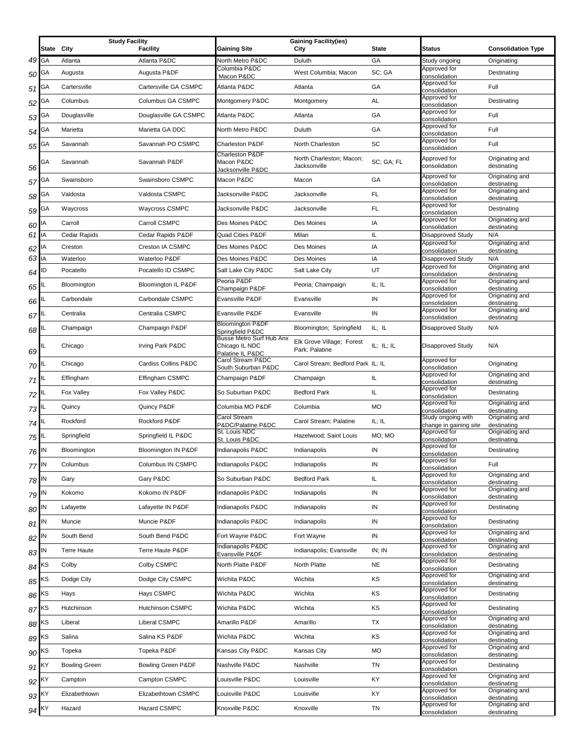|                      | State     | <b>Study Facility</b><br>City | <b>Facility</b>       | <b>Gaining Site</b>                                            | <b>Gaining Facility(ies)</b><br>City        | <b>State</b> | Status                                                       | <b>Consolidation Type</b>                         |
|----------------------|-----------|-------------------------------|-----------------------|----------------------------------------------------------------|---------------------------------------------|--------------|--------------------------------------------------------------|---------------------------------------------------|
| 49 GA                |           | Atlanta                       | Atlanta P&DC          | North Metro P&DC                                               | Duluth                                      | GA           | Study ongoing                                                | Originating                                       |
|                      |           |                               |                       | Columbia P&DC                                                  |                                             | SC: GA       | Approved for                                                 |                                                   |
| 50 <sup>GA</sup>     |           | Augusta                       | Augusta P&DF          | Macon P&DC                                                     | West Columbia; Macon                        |              | consolidation                                                | Destinating                                       |
| 51                   | <b>GA</b> | Cartersville                  | Cartersville GA CSMPC | Atlanta P&DC                                                   | Atlanta                                     | GA           | Approved for<br>consolidation                                | Full                                              |
| 52                   | GA        | Columbus                      | Columbus GA CSMPC     | Montgomery P&DC                                                | Montgomery                                  | AL           | Approved for<br>consolidation                                | Destinating                                       |
| 53                   | GA        | Douglasville                  | Douglasville GA CSMPC | Atlanta P&DC                                                   | Atlanta                                     | GA           | Approved for<br>consolidation                                | Full                                              |
| $54$ GA              |           | Marietta                      | Marietta GA DDC       | North Metro P&DC                                               | Duluth                                      | GA           | Approved for<br>consolidation                                | Full                                              |
| 55                   | GА        | Savannah                      | Savannah PO CSMPC     | Charleston P&DF                                                | North Charleston                            | SC           | Approved for<br>consolidation                                | Full                                              |
| 56                   | GА        | Savannah                      | Savannah P&DF         | <b>Charleston P&amp;DF</b><br>Macon P&DC<br>Jacksonville P&DC  | North Charleston; Macon;<br>Jacksonville    | SC; GA; FL   | Approved for<br>consolidation                                | Originating and<br>destinating                    |
| 57 <sup>GA</sup>     |           | Swainsboro                    | Swainsboro CSMPC      | Macon P&DC                                                     | Macon                                       | GA           | Approved for<br>consolidation                                | Originating and<br>destinating                    |
| 58                   | GA        | Valdosta                      | Valdosta CSMPC        | Jacksonville P&DC                                              | Jacksonville                                | FL.          | Approved for<br>consolidation                                | Originating and<br>destinating                    |
| $59$ GA              |           | Waycross                      | <b>Waycross CSMPC</b> | Jacksonville P&DC                                              | Jacksonville                                | FL           | Approved for<br>consolidation                                | Destinating                                       |
| 60 <sup>IA</sup>     |           | Carroll                       | Carroll CSMPC         | Des Moines P&DC                                                | Des Moines                                  | IA           | Approved for                                                 | Originating and                                   |
| 61 IA                |           | Cedar Rapids                  | Cedar Rapids P&DF     | Quad Cities P&DF                                               | Milan                                       | IL           | consolidation<br><b>Disapproved Study</b>                    | destinating<br>N/A                                |
| 62                   | IA        | Creston                       | Creston IA CSMPC      | Des Moines P&DC                                                | Des Moines                                  | IA           | Approved for                                                 | Originating and                                   |
| 63 IA                |           | Waterloo                      | Waterloo P&DF         | Des Moines P&DC                                                | Des Moines                                  | IA           | consolidation<br>Disapproved Study                           | destinating<br>N/A                                |
| $64$ <sup>ID</sup>   |           | Pocatello                     | Pocatello ID CSMPC    | Salt Lake City P&DC                                            | Salt Lake City                              | UT           | Approved for<br>consolidation                                | Originating and<br>destinating                    |
| 65                   |           | Bloomington                   | Bloomington IL P&DF   | Peoria P&DF<br>Champaign P&DF                                  | Peoria; Champaign                           | IL; IL       | Approved for<br>consolidation                                | Originating and<br>destinating                    |
| $66$ $^{\rm IL}$     |           | Carbondale                    | Carbondale CSMPC      | Evansville P&DF                                                | Evansville                                  | IN           | Approved for<br>consolidation                                | Originating and<br>destinating                    |
| 67                   | IL        | Centralia                     | Centralia CSMPC       | Evansville P&DF                                                | Evansville                                  | IN           | Approved for<br>consolidation                                | Originating and<br>destinating                    |
| 68 <sup>IL</sup>     |           | Champaign                     | Champaign P&DF        | <b>Bloomington P&amp;DF</b><br>Springfield P&DC                | Bloomington; Springfield                    | IL: IL       | Disapproved Study                                            | N/A                                               |
| 69                   |           | Chicago                       | Irving Park P&DC      | Busse Metro Surf Hub Anx<br>Chicago IL NDC<br>Palatine IL P&DC | Elk Grove Village; Forest<br>Park; Palatine | IL; IL; IL   | <b>Disapproved Study</b>                                     | N/A                                               |
| 70 <sup>IL</sup>     |           | Chicago                       | Cardiss Collins P&DC  | Carol Stream P&DC<br>South Suburban P&DC                       | Carol Stream; Bedford Park IL; IL           |              | Approved for<br>consolidation                                | Originating                                       |
| $71$ <sup>IL</sup>   |           | Effingham                     | Effingham CSMPC       | Champaign P&DF                                                 | Champaign                                   | IL           | Approved for<br>consolidation                                | Originating and<br>destinating                    |
| 72 <sup>IL</sup>     |           | Fox Valley                    | Fox Valley P&DC       | So Suburban P&DC                                               | <b>Bedford Park</b>                         | IL.          | Approved for<br>consolidation                                | Destinating                                       |
| $73$ <sup>IL</sup>   |           | Quincy                        | Quincy P&DF           | Columbia MO P&DF                                               | Columbia                                    | <b>MO</b>    | Approved for<br>consolidation                                | Originating and<br>destinating                    |
| 74 <sup>IL</sup>     |           | Rockford                      | Rockford P&DF         | Carol Stream<br>P&DC/Palatine P&DC<br>St. Louis NDC            | Carol Stream; Palatine                      | IL; IL       | Study ongoing with<br>change in gaining site<br>Approved for | Originating and<br>destinating<br>Originating and |
| 75 <sup>IL</sup>     |           | Springfield                   | Springfield IL P&DC   | St. Louis P&DC                                                 | Hazelwood; Saint Louis                      | MO; MO       | consolidation                                                | destinating                                       |
| 76 IN                |           | Bloomington                   | Bloomington IN P&DF   | Indianapolis P&DC                                              | Indianapolis                                | IN           | Approved for<br>consolidation                                | Destinating                                       |
| 77 <sup>IN</sup>     |           | Columbus                      | Columbus IN CSMPC     | Indianapolis P&DC                                              | Indianapolis                                | IN           | Approved for<br>consolidation                                | Full                                              |
| $78$ $\vert N \vert$ |           | Gary                          | Gary P&DC             | So Suburban P&DC                                               | <b>Bedford Park</b>                         | IL.          | Approved for<br>consolidation                                | Originating and<br>destinating                    |
| 79 IN                |           | Kokomo                        | Kokomo IN P&DF        | Indianapolis P&DC                                              | Indianapolis                                | IN           | Approved for<br>consolidation                                | Originating and<br>destinating                    |
| $80$ $^{\sf IN}$     |           | Lafayette                     | Lafayette IN P&DF     | Indianapolis P&DC                                              | Indianapolis                                | IN           | Approved for<br>consolidation                                | Destinating                                       |
| $81$ IN              |           | Muncie                        | Muncie P&DF           | Indianapolis P&DC                                              | Indianapolis                                | IN           | Approved for<br>consolidation                                | Destinating                                       |
| $82$ IN              |           | South Bend                    | South Bend P&DC       | Fort Wayne P&DC                                                | Fort Wayne                                  | IN           | Approved for<br>consolidation                                | Originating and<br>destinating                    |
| $83$ <sup>IN</sup>   |           | <b>Terre Haute</b>            | Terre Haute P&DF      | Indianapolis P&DC                                              | Indianapolis; Evansville                    | IN; IN       | Approved for                                                 | Originating and                                   |
| $84$ <sup>KS</sup>   |           | Colby                         | Colby CSMPC           | Evansville P&DF<br>North Platte P&DF                           | North Platte                                | <b>NE</b>    | consolidation<br>Approved for                                | destinating<br>Destinating                        |
| $85$ <sup>KS</sup>   |           | Dodge City                    | Dodge City CSMPC      | Wichita P&DC                                                   | Wichita                                     | ΚS           | consolidation<br>Approved for                                | Originating and                                   |
| $86$ <sup>KS</sup>   |           | Hays                          | Hays CSMPC            | Wichita P&DC                                                   | Wichita                                     | KS           | consolidation<br>Approved for                                | destinating<br>Destinating                        |
| 87 <sup>KS</sup>     |           | Hutchinson                    | Hutchinson CSMPC      | Wichita P&DC                                                   | Wichita                                     | KS           | consolidation<br>Approved for                                | Destinating                                       |
|                      |           | Liberal                       | Liberal CSMPC         | Amarillo P&DF                                                  | Amarillo                                    | TX           | consolidation<br>Approved for                                | Originating and                                   |
| $88$ <sup>KS</sup>   |           |                               |                       |                                                                |                                             |              | consolidation<br>Approved for                                | destinating<br>Originating and                    |
| $89$ <sup>KS</sup>   |           | Salina                        | Salina KS P&DF        | Wichita P&DC                                                   | Wichita                                     | KS           | consolidation<br>Approved for                                | destinating<br>Originating and                    |
| $90$ <sup>KS</sup>   |           | Topeka                        | Topeka P&DF           | Kansas City P&DC                                               | Kansas City                                 | <b>MO</b>    | consolidation                                                | destinating                                       |
| 91 KY                |           | <b>Bowling Green</b>          | Bowling Green P&DF    | Nashville P&DC                                                 | Nashville                                   | TN           | Approved for<br>consolidation                                | Destinating                                       |
| 92                   | KY        | Campton                       | Campton CSMPC         | Louisville P&DC                                                | Louisville                                  | KY           | Approved for<br>consolidation                                | Originating and<br>destinating                    |
| 93 KY                |           | Elizabethtown                 | Elizabethtown CSMPC   | Louisville P&DC                                                | Louisville                                  | KY.          | Approved for<br>consolidation                                | Originating and<br>destinating                    |
| $94$ KY              |           | Hazard                        | <b>Hazard CSMPC</b>   | Knoxville P&DC                                                 | Knoxville                                   | TN           | Approved for<br>consolidation                                | Originating and<br>destinating                    |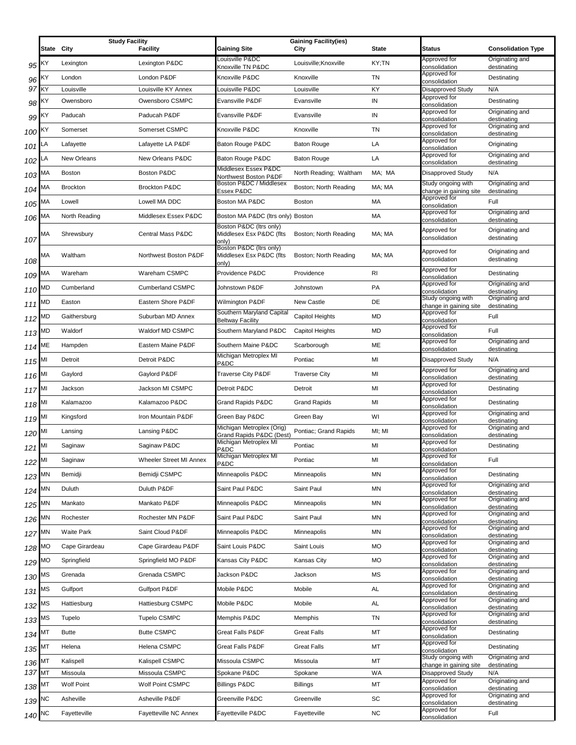|        |            | <b>Study Facility</b> |                          | <b>Gaining Site</b>                                          | <b>Gaining Facility(ies)</b> |                |                                              |                                              |
|--------|------------|-----------------------|--------------------------|--------------------------------------------------------------|------------------------------|----------------|----------------------------------------------|----------------------------------------------|
|        | State City |                       | <b>Facility</b>          | Louisville P&DC                                              | City                         | <b>State</b>   | <b>Status</b><br>Approved for                | <b>Consolidation Type</b><br>Originating and |
| 95     | ΚY         | Lexington             | Lexington P&DC           | Knoxville TN P&DC                                            | Louisville; Knoxville        | KY;TN          | consolidation                                | destinating                                  |
| 96     | ΚY         | London                | London P&DF              | Knoxville P&DC                                               | Knoxville                    | TN             | Approved for<br>consolidation                | Destinating                                  |
| 97     | KY         | Louisville            | Louisville KY Annex      | Louisville P&DC                                              | Louisville                   | KY             | <b>Disapproved Study</b><br>Approved for     | N/A                                          |
| 98     | ΚY         | Owensboro             | Owensboro CSMPC          | Evansville P&DF                                              | Evansville                   | IN             | consolidation                                | Destinating                                  |
| 99     | ΚY         | Paducah               | Paducah P&DF             | Evansville P&DF                                              | Evansville                   | IN             | Approved for<br>consolidation                | Originating and<br>destinating               |
| 100    | ΚY         | Somerset              | Somerset CSMPC           | Knoxville P&DC                                               | Knoxville                    | TN             | Approved for<br>consolidation                | Originating and<br>destinating               |
| 101    | LA         | Lafayette             | Lafayette LA P&DF        | Baton Rouge P&DC                                             | <b>Baton Rouge</b>           | LA             | Approved for<br>consolidation                | Originating                                  |
| 102    | LA         | <b>New Orleans</b>    | New Orleans P&DC         | Baton Rouge P&DC                                             | <b>Baton Rouge</b>           | LA             | Approved for<br>consolidation                | Originating and<br>destinating               |
| 103    | МA         | <b>Boston</b>         | Boston P&DC              | Middlesex Essex P&DC<br>Northwest Boston P&DF                | North Reading; Waltham       | MA; MA         | <b>Disapproved Study</b>                     | N/A                                          |
| 104    | МA         | <b>Brockton</b>       | <b>Brockton P&amp;DC</b> | Boston P&DC / Middlesex<br>Essex P&DC                        | Boston; North Reading        | MA; MA         | Study ongoing with                           | Originating and                              |
| 105    | МA         | Lowell                | Lowell MA DDC            | Boston MA P&DC                                               | Boston                       | MA             | change in gaining site<br>Approved for       | destinating<br>Full                          |
|        | МA         | North Reading         | Middlesex Essex P&DC     | Boston MA P&DC (Itrs only) Boston                            |                              | MA             | consolidation<br>Approved for                | Originating and                              |
| 106    |            |                       |                          | Boston P&DC (Itrs only)                                      |                              |                | consolidation<br>Approved for                | destinating<br>Originating and               |
| 107    | МA         | Shrewsbury            | Central Mass P&DC        | Middlesex Esx P&DC (flts<br>onlv)                            | Boston; North Reading        | MA; MA         | consolidation                                | destinating                                  |
| 108    | МA         | Waltham               | Northwest Boston P&DF    | Boston P&DC (Itrs only)<br>Middlesex Esx P&DC (flts<br>only) | Boston; North Reading        | MA; MA         | Approved for<br>consolidation                | Originating and<br>destinating               |
| 109    | МA         | Wareham               | Wareham CSMPC            | Providence P&DC                                              | Providence                   | R <sub>l</sub> | Approved for<br>consolidation                | Destinating                                  |
| 110    | МD         | Cumberland            | <b>Cumberland CSMPC</b>  | Johnstown P&DF                                               | Johnstown                    | PA             | Approved for<br>consolidation                | Originating and<br>destinating               |
| 111    | MD         | Easton                | Eastern Shore P&DF       | Wilmington P&DF                                              | <b>New Castle</b>            | DE             | Study ongoing with<br>change in gaining site | Originating and<br>destinating               |
| 112    | МD         | Gaithersburg          | Suburban MD Annex        | Southern Maryland Capital<br><b>Beltway Facility</b>         | Capitol Heights              | <b>MD</b>      | Approved for<br>consolidation                | Full                                         |
| 113    | MD         | Waldorf               | Waldorf MD CSMPC         | Southern Maryland P&DC                                       | Capitol Heights              | <b>MD</b>      | Approved for<br>consolidation                | Full                                         |
| 114    | МE         | Hampden               | Eastern Maine P&DF       | Southern Maine P&DC                                          | Scarborough                  | ME             | Approved for<br>consolidation                | Originating and<br>destinating               |
| 115    | MI         | Detroit               | Detroit P&DC             | Michigan Metroplex MI<br>P&DC                                | Pontiac                      | MI             | <b>Disapproved Study</b>                     | N/A                                          |
| 116    |            | Gaylord               | Gaylord P&DF             | Traverse City P&DF                                           | <b>Traverse City</b>         | MI             | Approved for<br>consolidation                | Originating and<br>destinating               |
| 117    | MI         | Jackson               | Jackson MI CSMPC         | Detroit P&DC                                                 | Detroit                      | MI             | Approved for<br>consolidation                | Destinating                                  |
| 118    |            | Kalamazoo             | Kalamazoo P&DC           | Grand Rapids P&DC                                            | <b>Grand Rapids</b>          | MI             | Approved for<br>consolidation                | Destinating                                  |
| 119    | MI         | Kingsford             | Iron Mountain P&DF       | Green Bay P&DC                                               | Green Bay                    | WI             | Approved for<br>consolidation                | Originating and<br>destinating               |
| 120    | MI         | Lansing               | Lansing P&DC             | Michigan Metroplex (Orig)                                    | Pontiac; Grand Rapids        | MI; MI         | Approved for                                 | Originating and                              |
| 121    | MI         | Saginaw               | Saginaw P&DC             | Grand Rapids P&DC (Dest)<br>Michigan Metroplex MI            | Pontiac                      | MI             | consolidation<br>Approved for                | destinating<br>Destinating                   |
| 122 MI |            | Saginaw               | Wheeler Street MI Annex  | P&DC<br>Michigan Metroplex MI                                | Pontiac                      | MI             | consolidation<br>Approved for                | Full                                         |
|        |            | Bemidji               | Bemidji CSMPC            | P&DC<br>Minneapolis P&DC                                     | Minneapolis                  | MN             | consolidation<br>Approved for                | Destinating                                  |
| 123 MN |            |                       |                          |                                                              |                              |                | consolidation<br>Approved for                | Originating and                              |
| 124    | ΜN         | Duluth                | Duluth P&DF              | Saint Paul P&DC                                              | Saint Paul                   | MN             | consolidation<br>Approved for                | destinating<br>Originating and               |
| 125    | ΜN         | Mankato               | Mankato P&DF             | Minneapolis P&DC                                             | Minneapolis                  | ΜN             | consolidation<br>Approved for                | destinating<br>Originating and               |
| 126    | ΜN         | Rochester             | Rochester MN P&DF        | Saint Paul P&DC                                              | Saint Paul                   | MN             | consolidation<br>Approved for                | destinating<br>Originating and               |
| 127    | ΜN         | <b>Waite Park</b>     | Saint Cloud P&DF         | Minneapolis P&DC                                             | Minneapolis                  | ΜN             | consolidation                                | destinating                                  |
| 128    | МO         | Cape Girardeau        | Cape Girardeau P&DF      | Saint Louis P&DC                                             | Saint Louis                  | MO             | Approved for<br>consolidation                | Originating and<br>destinating               |
| 129    | МO         | Springfield           | Springfield MO P&DF      | Kansas City P&DC                                             | Kansas City                  | MO             | Approved for<br>consolidation                | Originating and<br>destinating               |
| 130    | МS         | Grenada               | Grenada CSMPC            | Jackson P&DC                                                 | Jackson                      | <b>MS</b>      | Approved for<br>consolidation                | Originating and<br>destinating               |
| 131    | МS         | Gulfport              | Gulfport P&DF            | Mobile P&DC                                                  | Mobile                       | AL             | Approved for<br>consolidation                | Originating and<br>destinating               |
| 132    | МS         | Hattiesburg           | Hattiesburg CSMPC        | Mobile P&DC                                                  | Mobile                       | <b>AL</b>      | Approved for<br>consolidation                | Originating and<br>destinating               |
| 133    | <b>MS</b>  | Tupelo                | <b>Tupelo CSMPC</b>      | Memphis P&DC                                                 | Memphis                      | TN             | Approved for<br>consolidation                | Originating and<br>destinating               |
| 134    | МT         | <b>Butte</b>          | <b>Butte CSMPC</b>       | Great Falls P&DF                                             | <b>Great Falls</b>           | MT             | Approved for<br>consolidation                | Destinating                                  |
| 135    | МT         | Helena                | Helena CSMPC             | Great Falls P&DF                                             | <b>Great Falls</b>           | MT             | Approved for<br>consolidation                | Destinating                                  |
| 136    | МT         | Kalispell             | Kalispell CSMPC          | Missoula CSMPC                                               | Missoula                     | MT             | Study ongoing with<br>change in gaining site | Originating and<br>destinating               |
| 137 MT |            | Missoula              | Missoula CSMPC           | Spokane P&DC                                                 | Spokane                      | WA             | Disapproved Study                            | N/A                                          |
| 138    | МT         | <b>Wolf Point</b>     | Wolf Point CSMPC         | <b>Billings P&amp;DC</b>                                     | <b>Billings</b>              | MT             | Approved for<br>consolidation                | Originating and<br>destinating               |
| 139    | ΝC         | Asheville             | Asheville P&DF           | Greenville P&DC                                              | Greenville                   | SC             | Approved for<br>consolidation                | Originating and<br>destinating               |
| 140    | ΝC         | Fayetteville          | Fayetteville NC Annex    | Fayetteville P&DC                                            | Fayetteville                 | NC             | Approved for<br>consolidation                | Full                                         |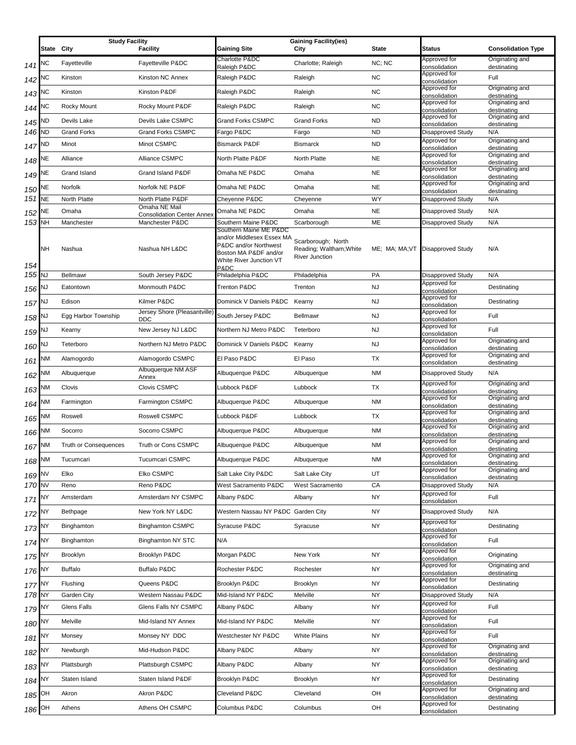|                     | <b>Study Facility</b> |                       |                                            | <b>Gaining Facility(ies)</b>                                                                                                             |                                                                        |           |                                   |                                |
|---------------------|-----------------------|-----------------------|--------------------------------------------|------------------------------------------------------------------------------------------------------------------------------------------|------------------------------------------------------------------------|-----------|-----------------------------------|--------------------------------|
|                     | State City            |                       | <b>Facility</b>                            | Gaining Site                                                                                                                             | City                                                                   | State     | <b>Status</b>                     | <b>Consolidation Type</b>      |
| 141                 | NC                    | Fayetteville          | Fayetteville P&DC                          | Charlotte P&DC                                                                                                                           | Charlotte; Raleigh                                                     | NC; NC    | Approved for                      | Originating and                |
| 142                 | NC                    | Kinston               | Kinston NC Annex                           | Raleigh P&DC<br>Raleigh P&DC                                                                                                             | Raleigh                                                                | <b>NC</b> | consolidation<br>Approved for     | destinating<br>Full            |
|                     |                       |                       |                                            |                                                                                                                                          |                                                                        |           | consolidation<br>Approved for     | Originating and                |
| 143                 | ٧С                    | Kinston               | Kinston P&DF                               | Raleigh P&DC                                                                                                                             | Raleigh                                                                | <b>NC</b> | consolidation                     | destinating                    |
| 144                 | NС                    | <b>Rocky Mount</b>    | Rocky Mount P&DF                           | Raleigh P&DC                                                                                                                             | Raleigh                                                                | <b>NC</b> | Approved for<br>consolidation     | Originating and<br>destinating |
| 145                 | ND                    | Devils Lake           | Devils Lake CSMPC                          | Grand Forks CSMPC                                                                                                                        | <b>Grand Forks</b>                                                     | <b>ND</b> | Approved for<br>consolidation     | Originating and<br>destinating |
| 146 ND              |                       | <b>Grand Forks</b>    | <b>Grand Forks CSMPC</b>                   | Fargo P&DC                                                                                                                               | Fargo                                                                  | <b>ND</b> | Disapproved Study                 | N/A                            |
| 147                 | ND                    | Minot                 | Minot CSMPC                                | <b>Bismarck P&amp;DF</b>                                                                                                                 | <b>Bismarck</b>                                                        | <b>ND</b> | Approved for<br>consolidation     | Originating and<br>destinating |
| 148                 | NE                    | Alliance              | Alliance CSMPC                             | North Platte P&DF                                                                                                                        | North Platte                                                           | <b>NE</b> | Approved for<br>consolidation     | Originating and<br>destinating |
| 149 NE              |                       | Grand Island          | Grand Island P&DF                          | Omaha NE P&DC                                                                                                                            | Omaha                                                                  | <b>NE</b> | Approved for<br>consolidation     | Originating and<br>destinating |
| 150                 | NE                    | Norfolk               | Norfolk NE P&DF                            | Omaha NE P&DC                                                                                                                            | Omaha                                                                  | <b>NE</b> | Approved for<br>consolidation     | Originating and<br>destinating |
| 151                 | <b>NE</b>             | North Platte          | North Platte P&DF<br>Omaha NE Mail         | Cheyenne P&DC                                                                                                                            | Cheyenne                                                               | WY        | Disapproved Study                 | N/A                            |
| 152                 | NE                    | Omaha                 | <b>Consolidation Center Annex</b>          | Omaha NE P&DC                                                                                                                            | Omaha                                                                  | <b>NE</b> | <b>Disapproved Study</b>          | N/A                            |
| 153 NH              |                       | Manchester            | Manchester P&DC                            | Southern Maine P&DC                                                                                                                      | Scarborough                                                            | ME        | <b>Disapproved Study</b>          | N/A                            |
| 154                 | NΗ                    | Nashua                | Nashua NH L&DC                             | Southern Maine ME P&DC<br>and/or Middlesex Essex MA<br>P&DC and/or Northwest<br>Boston MA P&DF and/or<br>White River Junction VT<br>P&DC | Scarborough; North<br>Reading; Waltham; White<br><b>River Junction</b> |           | ME; MA; MA; VT Disapproved Study  | N/A                            |
| 155 NJ              |                       | <b>Bellmawr</b>       | South Jersey P&DC                          | Philadelphia P&DC                                                                                                                        | Philadelphia                                                           | PA        | Disapproved Study                 | N/A                            |
| 156                 | ΝJ                    | Eatontown             | Monmouth P&DC                              | Trenton P&DC                                                                                                                             | Trenton                                                                | <b>NJ</b> | Approved for<br>consolidation     | Destinating                    |
| 157                 | ٦J                    | Edison                | Kilmer P&DC                                | Dominick V Daniels P&DC Kearny                                                                                                           |                                                                        | <b>NJ</b> | Approved for<br>consolidation     | Destinating                    |
| 158                 | NJ                    | Egg Harbor Township   | Jersey Shore (Pleasantville)<br><b>DDC</b> | South Jersey P&DC                                                                                                                        | <b>Bellmawr</b>                                                        | <b>NJ</b> | Approved for<br>consolidation     | Full                           |
| 159 <sup>NJ</sup>   |                       | Kearny                | New Jersey NJ L&DC                         | Northern NJ Metro P&DC                                                                                                                   | Teterboro                                                              | <b>NJ</b> | Approved for<br>consolidation     | Full                           |
| 160 NJ              |                       | Teterboro             | Northern NJ Metro P&DC                     | Dominick V Daniels P&DC Kearny                                                                                                           |                                                                        | <b>NJ</b> | Approved for<br>consolidation     | Originating and<br>destinating |
| 161                 | NМ                    | Alamogordo            | Alamogordo CSMPC                           | El Paso P&DC                                                                                                                             | El Paso                                                                | TX        | Approved for<br>consolidation     | Originating and<br>destinating |
| 162                 | NМ                    | Albuquerque           | Albuquerque NM ASF<br>Annex                | Albuquerque P&DC                                                                                                                         | Albuquerque                                                            | <b>NM</b> | Disapproved Study                 | N/A                            |
| 163                 | NΜ                    | Clovis                | <b>Clovis CSMPC</b>                        | Lubbock P&DF                                                                                                                             | Lubbock                                                                | TX        | Approved for<br>consolidation     | Originating and<br>destinating |
| 164                 | NM                    | Farmington            | Farmington CSMPC                           | Albuquerque P&DC                                                                                                                         | Albuquerque                                                            | <b>NM</b> | Approved for<br>consolidation     | Originating and<br>destinating |
| 165                 | NM                    | Roswell               | Roswell CSMPC                              | Lubbock P&DF                                                                                                                             | Lubbock                                                                | TX        | Approved for<br>consolidation     | Originating and<br>destinating |
| 166                 | ΝМ                    | Socorro               | Socorro CSMPC                              | Albuquerque P&DC                                                                                                                         | Albuquerque                                                            | <b>NM</b> | Approved for<br>consolidation     | Originating and<br>destinating |
| 167                 | <b>NM</b>             | Truth or Consequences | Truth or Cons CSMPC                        | Albuquerque P&DC                                                                                                                         | Albuquerque                                                            | <b>NM</b> | Approved for<br>consolidation     | Originating and<br>destinating |
| 168 NM              |                       | Tucumcari             | Tucumcari CSMPC                            | Albuquerque P&DC                                                                                                                         | Albuquerque                                                            | <b>NM</b> | Approved for<br>consolidation     | Originating and<br>destinating |
| 169 NV              |                       | Elko                  | Elko CSMPC                                 | Salt Lake City P&DC                                                                                                                      | Salt Lake City                                                         | UT        | Approved for<br>consolidation     | Originating and<br>destinating |
| 170 NV              |                       | Reno                  | Reno P&DC                                  | West Sacramento P&DC                                                                                                                     | West Sacramento                                                        | CA        | Disapproved Study                 | N/A                            |
| 171 NY              |                       | Amsterdam             | Amsterdam NY CSMPC                         | Albany P&DC                                                                                                                              | Albany                                                                 | <b>NY</b> | Approved for<br>consolidation     | Full                           |
| 172                 | NΥ                    | Bethpage              | New York NY L&DC                           | Western Nassau NY P&DC Garden City                                                                                                       |                                                                        | <b>NY</b> | <b>Disapproved Study</b>          | N/A                            |
| 173 NY              |                       | Binghamton            | <b>Binghamton CSMPC</b>                    | Syracuse P&DC                                                                                                                            | Syracuse                                                               | NY        | Approved for<br>consolidation     | Destinating                    |
| 174 NY              |                       | Binghamton            | <b>Binghamton NY STC</b>                   | N/A                                                                                                                                      |                                                                        |           | Approved for<br>consolidation     | Full                           |
| 175                 | NΥ                    | Brooklyn              | Brooklyn P&DC                              | Morgan P&DC                                                                                                                              | New York                                                               | NY        | Approved for<br>consolidation     | Originating                    |
| $176$ <sup>NY</sup> |                       | <b>Buffalo</b>        | <b>Buffalo P&amp;DC</b>                    | Rochester P&DC                                                                                                                           | Rochester                                                              | <b>NY</b> | Approved for<br>consolidation     | Originating and<br>destinating |
| $177$ <sup>NY</sup> |                       | Flushing              | Queens P&DC                                | Brooklyn P&DC                                                                                                                            | Brooklyn                                                               | <b>NY</b> | Approved for<br>consolidation     | Destinating                    |
| 178 NY              |                       | Garden City           | Western Nassau P&DC                        | Mid-Island NY P&DC                                                                                                                       | Melville                                                               | <b>NY</b> | Disapproved Study<br>Approved for | N/A                            |
| 179 NY              |                       | Glens Falls           | Glens Falls NY CSMPC                       | Albany P&DC                                                                                                                              | Albany                                                                 | <b>NY</b> | consolidation<br>Approved for     | Full                           |
| 180 NY              |                       | Melville              | Mid-Island NY Annex                        | Mid-Island NY P&DC                                                                                                                       | Melville                                                               | <b>NY</b> | consolidation                     | Full                           |
| $181$ <sup>NY</sup> |                       | Monsey                | Monsey NY DDC                              | Westchester NY P&DC                                                                                                                      | <b>White Plains</b>                                                    | NY        | Approved for<br>consolidation     | Full                           |
| 182                 | NΥ                    | Newburgh              | Mid-Hudson P&DC                            | Albany P&DC                                                                                                                              | Albany                                                                 | NY        | Approved for<br>consolidation     | Originating and<br>destinating |
| $183$ <sup>NY</sup> |                       | Plattsburgh           | Plattsburgh CSMPC                          | Albany P&DC                                                                                                                              | Albany                                                                 | <b>NY</b> | Approved for<br>consolidation     | Originating and<br>destinating |
| 184                 | NΥ                    | Staten Island         | Staten Island P&DF                         | Brooklyn P&DC                                                                                                                            | Brooklyn                                                               | NY        | Approved for<br>consolidation     | Destinating                    |
| 185                 | OН                    | Akron                 | Akron P&DC                                 | Cleveland P&DC                                                                                                                           | Cleveland                                                              | OH        | Approved for<br>consolidation     | Originating and<br>destinating |
| 186                 | OH                    | Athens                | Athens OH CSMPC                            | Columbus P&DC                                                                                                                            | Columbus                                                               | OH        | Approved for<br>consolidation     | Destinating                    |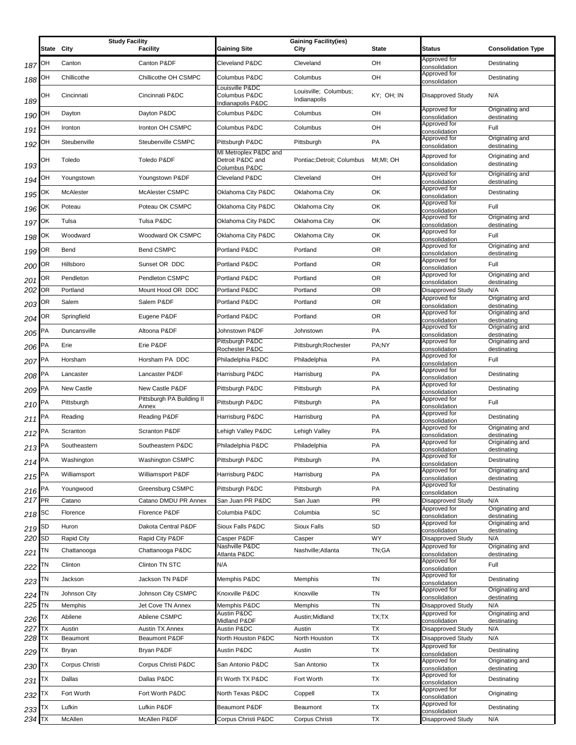|                     | State City | <b>Study Facility</b> | <b>Facility</b>           | <b>Gaining Site</b>                                        | <b>Gaining Facility(ies)</b><br>City  | <b>State</b> | <b>Status</b>                                  | <b>Consolidation Type</b>      |
|---------------------|------------|-----------------------|---------------------------|------------------------------------------------------------|---------------------------------------|--------------|------------------------------------------------|--------------------------------|
|                     |            |                       |                           |                                                            |                                       |              | Approved for                                   |                                |
| 187                 | ОН         | Canton                | Canton P&DF               | Cleveland P&DC                                             | Cleveland                             | OH           | consolidation<br>Approved for                  | Destinating                    |
| 188                 | OН         | Chillicothe           | Chillicothe OH CSMPC      | Columbus P&DC<br>Louisville P&DC                           | Columbus                              | OH           | consolidation                                  | Destinating                    |
| 189                 | ОН         | Cincinnati            | Cincinnati P&DC           | Columbus P&DC<br>Indianapolis P&DC                         | Louisville; Columbus;<br>Indianapolis | KY; OH; IN   | Disapproved Study                              | N/A                            |
| 190                 | ОН         | Dayton                | Dayton P&DC               | Columbus P&DC                                              | Columbus                              | OH           | Approved for<br>consolidation                  | Originating and<br>destinating |
| 191                 | ОН         | Ironton               | Ironton OH CSMPC          | Columbus P&DC                                              | Columbus                              | OH           | Approved for<br>consolidation                  | Full                           |
| 192                 | ОН         | Steubenville          | Steubenville CSMPC        | Pittsburgh P&DC                                            | Pittsburgh                            | PA           | Approved for<br>consolidation                  | Originating and<br>destinating |
| 193                 | ОН         | Toledo                | Toledo P&DF               | MI Metroplex P&DC and<br>Detroit P&DC and<br>Columbus P&DC | Pontiac; Detroit; Columbus            | MI:MI: OH    | Approved for<br>consolidation                  | Originating and<br>destinating |
| 194                 | ОН         | Youngstown            | Youngstown P&DF           | Cleveland P&DC                                             | Cleveland                             | OH           | Approved for<br>consolidation                  | Originating and<br>destinating |
| 195                 | ОΚ         | McAlester             | McAlester CSMPC           | Oklahoma City P&DC                                         | Oklahoma City                         | OK           | Approved for<br>consolidation                  | Destinating                    |
| 196                 | ΟK         | Poteau                | Poteau OK CSMPC           | Oklahoma City P&DC                                         | Oklahoma City                         | OK           | Approved for<br>consolidation                  | Full                           |
| 197                 | ОК         | Tulsa                 | Tulsa P&DC                | Oklahoma City P&DC                                         | Oklahoma City                         | OK           | Approved for<br>consolidation                  | Originating and<br>destinating |
| 198                 | ЮK         | Woodward              | Woodward OK CSMPC         | Oklahoma City P&DC                                         | Oklahoma City                         | OK           | Approved for<br>consolidation                  | Full                           |
| 199                 | ОR         | Bend                  | <b>Bend CSMPC</b>         | Portland P&DC                                              | Portland                              | OR.          | Approved for<br>consolidation                  | Originating and<br>destinating |
| 200                 | ОR         | Hillsboro             | Sunset OR DDC             | Portland P&DC                                              | Portland                              | <b>OR</b>    | Approved for<br>consolidation                  | Full                           |
| 201                 | ОR         | Pendleton             | Pendleton CSMPC           | Portland P&DC                                              | Portland                              | 0R           | Approved for                                   | Originating and                |
| 202                 | OR         | Portland              | Mount Hood OR DDC         | Portland P&DC                                              | Portland                              | <b>OR</b>    | consolidation<br><b>Disapproved Study</b>      | destinating<br>N/A             |
| 203                 | OR         | Salem                 | Salem P&DF                | Portland P&DC                                              | Portland                              | 0R           | Approved for                                   | Originating and                |
| 204                 | ОR         | Springfield           | Eugene P&DF               | Portland P&DC                                              | Portland                              | <b>OR</b>    | consolidation<br>Approved for                  | destinating<br>Originating and |
| 205                 | PA         | Duncansville          | Altoona P&DF              | Johnstown P&DF                                             | Johnstown                             | PA           | consolidation<br>Approved for                  | destinating<br>Originating and |
| 206                 | РA         | Erie                  | Erie P&DF                 | Pittsburgh P&DC                                            | Pittsburgh; Rochester                 | PA;NY        | consolidation<br>Approved for                  | destinating<br>Originating and |
| 207                 | PA         | Horsham               | Horsham PA DDC            | Rochester P&DC<br>Philadelphia P&DC                        | Philadelphia                          | PA           | consolidation<br>Approved for                  | destinating<br>Full            |
| 208                 | PA         | Lancaster             | Lancaster P&DF            | Harrisburg P&DC                                            | Harrisburg                            | PA           | consolidation<br>Approved for                  | Destinating                    |
| 209                 | PA         | New Castle            | New Castle P&DF           | Pittsburgh P&DC                                            | Pittsburgh                            | PA           | consolidation<br>Approved for                  | Destinating                    |
| 210                 | PA         | Pittsburgh            | Pittsburgh PA Building II | Pittsburgh P&DC                                            | Pittsburgh                            | PA           | consolidation<br>Approved for                  | Full                           |
|                     | PA         | Reading               | Annex<br>Reading P&DF     | Harrisburg P&DC                                            | Harrisburg                            | PA           | consolidation<br>Approved for                  | Destinating                    |
| 211<br>212          | РA         | Scranton              | <b>Scranton P&amp;DF</b>  | Lehigh Valley P&DC                                         | Lehigh Valley                         | PA           | consolidation<br>Approved for                  | Originating and                |
| $213$ PA            |            | Southeastern          | Southeastern P&DC         | Philadelphia P&DC                                          | Philadelphia                          | PA           | consolidation<br>Approved for                  | destinating<br>Originating and |
| 214 $PA$            |            | Washington            | Washington CSMPC          | Pittsburgh P&DC                                            | Pittsburgh                            | PA           | consolidation<br>Approved for                  | destinating<br>Destinating     |
| 215 $P^A$           |            | Williamsport          | Williamsport P&DF         | Harrisburg P&DC                                            | Harrisburg                            | PA           | consolidation<br>Approved for                  | Originating and                |
| 216 $PA$            |            | Youngwood             | Greensburg CSMPC          | Pittsburgh P&DC                                            | Pittsburgh                            | PA           | consolidation<br>Approved for                  | destinating<br>Destinating     |
| 217 PR              |            | Catano                | Catano DMDU PR Annex      | San Juan PR P&DC                                           | San Juan                              | <b>PR</b>    | consolidation<br>Disapproved Study             | N/A                            |
| 218 $ $ SC          |            | Florence              | Florence P&DF             | Columbia P&DC                                              | Columbia                              | SC           | Approved for<br>consolidation                  | Originating and<br>destinating |
|                     | SD         | Huron                 | Dakota Central P&DF       | Sioux Falls P&DC                                           | Sioux Falls                           | SD           | Approved for                                   | Originating and                |
| 219<br>220          | <b>SD</b>  | <b>Rapid City</b>     | Rapid City P&DF           | Casper P&DF                                                | Casper                                | <b>WY</b>    | consolidation<br>Disapproved Study             | destinating<br>N/A             |
| 221                 | ΤN         | Chattanooga           | Chattanooga P&DC          | Nashville P&DC<br>Atlanta P&DC                             | Nashville;Atlanta                     | TN;GA        | Approved for<br>consolidation                  | Originating and                |
| 222                 | ΤN         | Clinton               | Clinton TN STC            | N/A                                                        |                                       |              | Approved for                                   | destinating<br>Full            |
| 223 TN              |            | Jackson               | Jackson TN P&DF           | Memphis P&DC                                               | Memphis                               | TN           | consolidation<br>Approved for<br>consolidation | Destinating                    |
| 224                 | TN         | Johnson City          | Johnson City CSMPC        | Knoxville P&DC                                             | Knoxville                             | TN           | Approved for<br>consolidation                  | Originating and<br>destinating |
| 225 TN              |            | Memphis               | Jet Cove TN Annex         | Memphis P&DC                                               | Memphis                               | TN           | Disapproved Study                              | N/A                            |
| 226                 | ТX         | Abilene               | Abilene CSMPC             | Austin P&DC                                                | Austin; Midland                       | TX;TX        | Approved for                                   | Originating and                |
| 227                 | <b>TX</b>  | Austin                | <b>Austin TX Annex</b>    | Midland P&DF<br>Austin P&DC                                | Austin                                | ТX           | consolidation<br>Disapproved Study             | destinating<br>N/A             |
| 228 TX              |            | Beaumont              | Beaumont P&DF             | North Houston P&DC                                         | North Houston                         | TX           | Disapproved Study<br>Approved for              | N/A                            |
| 229                 | ТX         | Bryan                 | Bryan P&DF                | Austin P&DC                                                | Austin                                | TX           | consolidation<br>Approved for                  | Destinating<br>Originating and |
| 230                 | ТX         | Corpus Christi        | Corpus Christi P&DC       | San Antonio P&DC                                           | San Antonio                           | ТX           | consolidation                                  | destinating                    |
| 231                 | ТX         | Dallas                | Dallas P&DC               | Ft Worth TX P&DC                                           | Fort Worth                            | TX           | Approved for<br>consolidation                  | Destinating                    |
| 232                 | ТX         | Fort Worth            | Fort Worth P&DC           | North Texas P&DC                                           | Coppell                               | TX           | Approved for<br>consolidation                  | Originating                    |
| $233$ <sup>TX</sup> |            | Lufkin                | Lufkin P&DF               | <b>Beaumont P&amp;DF</b>                                   | Beaumont                              | TX           | Approved for<br>consolidation                  | Destinating                    |
| $234$ TX            |            | McAllen               | McAllen P&DF              | Corpus Christi P&DC                                        | Corpus Christi                        | <b>TX</b>    | Disapproved Study                              | N/A                            |